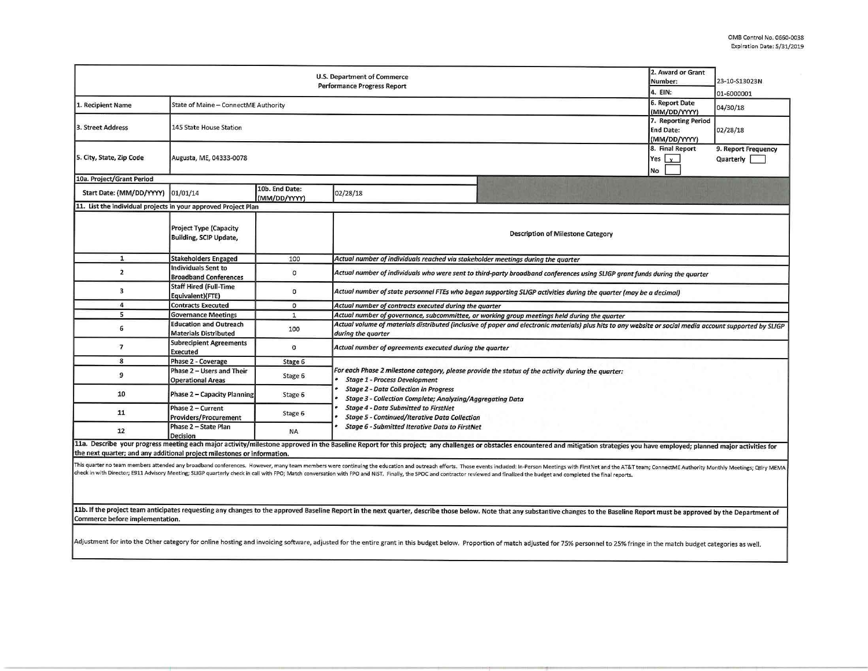| U.S. Department of Commerce<br>Performance Progress Report              |                                                               |                                           |                                                                                                                                                                                                                                                                                                                                                                                                                                                                                                                                                                                                                                                                                                    |  |                                  | 23-10-S13023N<br>01-6000001      |  |  |  |
|-------------------------------------------------------------------------|---------------------------------------------------------------|-------------------------------------------|----------------------------------------------------------------------------------------------------------------------------------------------------------------------------------------------------------------------------------------------------------------------------------------------------------------------------------------------------------------------------------------------------------------------------------------------------------------------------------------------------------------------------------------------------------------------------------------------------------------------------------------------------------------------------------------------------|--|----------------------------------|----------------------------------|--|--|--|
| 1. Recipient Name                                                       | State of Maine - ConnectME Authority                          | 4. EIN:<br>6. Report Date<br>(MM/DD/YYYY) | 04/30/18                                                                                                                                                                                                                                                                                                                                                                                                                                                                                                                                                                                                                                                                                           |  |                                  |                                  |  |  |  |
| 3. Street Address                                                       | 145 State House Station                                       |                                           |                                                                                                                                                                                                                                                                                                                                                                                                                                                                                                                                                                                                                                                                                                    |  |                                  | 02/28/18                         |  |  |  |
| 5. City, State, Zip Code                                                | Augusta, ME, 04333-0078                                       |                                           |                                                                                                                                                                                                                                                                                                                                                                                                                                                                                                                                                                                                                                                                                                    |  | 8. Final Report<br>Yes $x$<br>No | 9. Report Frequency<br>Quarterly |  |  |  |
| 10a. Project/Grant Period                                               |                                                               |                                           |                                                                                                                                                                                                                                                                                                                                                                                                                                                                                                                                                                                                                                                                                                    |  |                                  |                                  |  |  |  |
| Start Date: (MM/DD/YYYY) 01/01/14                                       |                                                               | 10b. End Date:<br>(MM/DD/YYYY)            | 02/28/18                                                                                                                                                                                                                                                                                                                                                                                                                                                                                                                                                                                                                                                                                           |  |                                  |                                  |  |  |  |
| 11. List the individual projects in your approved Project Plan          |                                                               |                                           |                                                                                                                                                                                                                                                                                                                                                                                                                                                                                                                                                                                                                                                                                                    |  |                                  |                                  |  |  |  |
|                                                                         | <b>Project Type (Capacity</b><br>Building, SCIP Update,       |                                           | <b>Description of Milestone Category</b>                                                                                                                                                                                                                                                                                                                                                                                                                                                                                                                                                                                                                                                           |  |                                  |                                  |  |  |  |
| $\mathbf{1}$                                                            | <b>Stakeholders Engaged</b>                                   | 100                                       | Actual number of individuals reached via stakeholder meetings during the quarter                                                                                                                                                                                                                                                                                                                                                                                                                                                                                                                                                                                                                   |  |                                  |                                  |  |  |  |
| $\overline{\mathbf{z}}$                                                 | <b>Individuals Sent to</b><br><b>Broadband Conferences</b>    | $\circ$                                   | Actual number of individuals who were sent to third-party broadband conferences using SLIGP grant funds during the quarter                                                                                                                                                                                                                                                                                                                                                                                                                                                                                                                                                                         |  |                                  |                                  |  |  |  |
| 3                                                                       | <b>Staff Hired (Full-Time</b><br>Equivalent)(FTE)             | $\mathbf 0$                               | Actual number of state personnel FTEs who began supporting SLIGP activities during the quarter (may be a decimal)                                                                                                                                                                                                                                                                                                                                                                                                                                                                                                                                                                                  |  |                                  |                                  |  |  |  |
| 4                                                                       | <b>Contracts Executed</b>                                     | $\mathbf 0$                               | Actual number of contracts executed during the quarter                                                                                                                                                                                                                                                                                                                                                                                                                                                                                                                                                                                                                                             |  |                                  |                                  |  |  |  |
| 5                                                                       | <b>Governance Meetings</b>                                    | $\mathbf{1}$                              | Actual number of governance, subcommittee, or working group meetings held during the quarter                                                                                                                                                                                                                                                                                                                                                                                                                                                                                                                                                                                                       |  |                                  |                                  |  |  |  |
| 6                                                                       | <b>Education and Outreach</b><br><b>Materials Distributed</b> | 100                                       | Actual volume of materials distributed (inclusive of paper and electronic materials) plus hits to any website or social media account supported by SLIGP<br>during the quarter                                                                                                                                                                                                                                                                                                                                                                                                                                                                                                                     |  |                                  |                                  |  |  |  |
| 7                                                                       | <b>Subrecipient Agreements</b><br><b>Executed</b>             | $\mathbf 0$                               | Actual number of agreements executed during the quarter                                                                                                                                                                                                                                                                                                                                                                                                                                                                                                                                                                                                                                            |  |                                  |                                  |  |  |  |
| 8                                                                       | Phase 2 - Coverage                                            | Stage 6                                   | For each Phase 2 milestone category, please provide the status of the activity during the quarter:<br><b>Stage 1 - Process Development</b>                                                                                                                                                                                                                                                                                                                                                                                                                                                                                                                                                         |  |                                  |                                  |  |  |  |
| 9                                                                       | Phase 2 - Users and Their<br><b>Operational Areas</b>         | Stage 6                                   |                                                                                                                                                                                                                                                                                                                                                                                                                                                                                                                                                                                                                                                                                                    |  |                                  |                                  |  |  |  |
| 10                                                                      | <b>Phase 2 - Capacity Planning</b>                            | Stage 6                                   | <b>Stage 2 - Data Collection in Progress</b><br><b>Stage 3 - Collection Complete; Analyzing/Aggregating Data</b>                                                                                                                                                                                                                                                                                                                                                                                                                                                                                                                                                                                   |  |                                  |                                  |  |  |  |
| 11                                                                      | Phase 2 - Current<br><b>Providers/Procurement</b>             | Stage 6                                   | <b>Stage 4 - Data Submitted to FirstNet</b><br><b>Stage 5 - Continued/Iterative Data Collection</b>                                                                                                                                                                                                                                                                                                                                                                                                                                                                                                                                                                                                |  |                                  |                                  |  |  |  |
| 12                                                                      | Phase 2 - State Plan<br>Decision                              | <b>NA</b>                                 | <b>Stage 6 - Submitted Iterative Data to FirstNet</b>                                                                                                                                                                                                                                                                                                                                                                                                                                                                                                                                                                                                                                              |  |                                  |                                  |  |  |  |
| the next quarter; and any additional project milestones or information. |                                                               |                                           | 11a. Describe your progress meeting each major activity/milestone approved in the Baseline Report for this project; any challenges or obstacles encountered and mitigation strategies you have employed; planned major activit<br>This quarter no team members attended any broadband conferences. However, many team members were continuing the education and outreach efforts. Those events included: In-Person Meetings with FirstNet and the AT&T team; Con<br>check in with Director; E911 Advisory Meeting; SLIGP quarterly check in call with FPO; Match conversation with FPO and NIST. Finally, the SPOC and contractor reviewed and finalized the budget and completed the final report |  |                                  |                                  |  |  |  |

11b. If the project team anticipates requesting any changes to the approved Baseline Report in the next quarter, describe those below. Note that any substantive changes to the Baseline Report must be approved by the Depart Commerce before implementation.

Adjustment for into the Other category for online hosting and invoicing software, adjusted for the entire grant in this budget below. Proportion of match adjusted for 75% personnel to 25% fringe in the match budget categor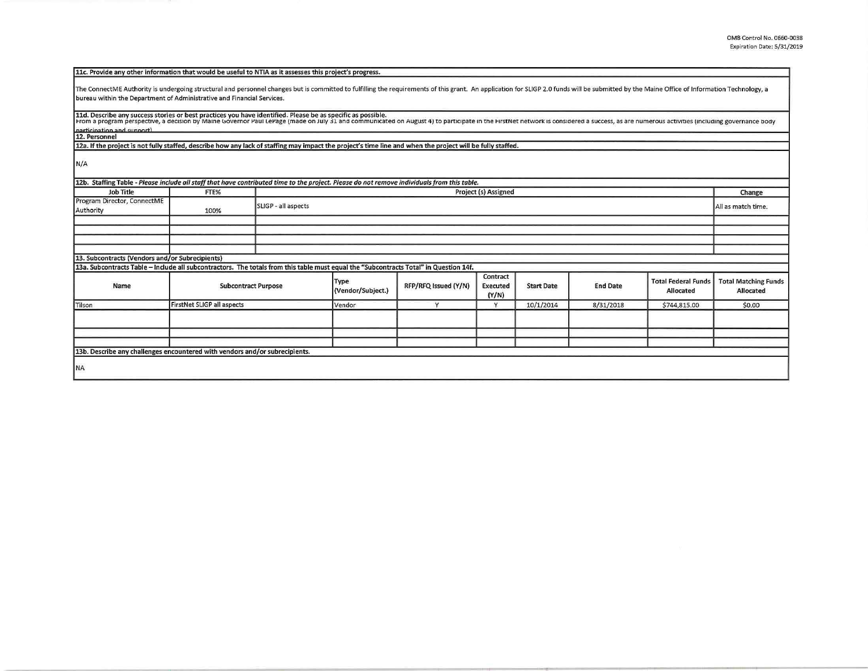| 11c. Provide any other information that would be useful to NTIA as it assesses this project's progress.                                                                                                                                                                                                                                       |                                   |                     |                           |                      |                                      |                   |                 |                                         |                                          |
|-----------------------------------------------------------------------------------------------------------------------------------------------------------------------------------------------------------------------------------------------------------------------------------------------------------------------------------------------|-----------------------------------|---------------------|---------------------------|----------------------|--------------------------------------|-------------------|-----------------|-----------------------------------------|------------------------------------------|
| The ConnectME Authority is undergoing structural and personnel changes but is committed to fulfilling the requirements of this grant. An application for SLIGP 2.0 funds will be submitted by the Maine Office of Information<br>bureau within the Department of Administrative and Financial Services.                                       |                                   |                     |                           |                      |                                      |                   |                 |                                         |                                          |
| 11d. Describe any success stories or best practices you have identified. Please be as specific as possible.<br>From a program perspective, a decision by Maine Governor Paul LePage (made on July 31 and communicated on August 4) to participate in the FirstNet network is considered a success, as are numerous activities (including gove |                                   |                     |                           |                      |                                      |                   |                 |                                         |                                          |
| narticination and sunnort)<br>12. Personnel                                                                                                                                                                                                                                                                                                   |                                   |                     |                           |                      |                                      |                   |                 |                                         |                                          |
| 12a. If the project is not fully staffed, describe how any lack of staffing may impact the project's time line and when the project will be fully staffed.                                                                                                                                                                                    |                                   |                     |                           |                      |                                      |                   |                 |                                         |                                          |
| N/A                                                                                                                                                                                                                                                                                                                                           |                                   |                     |                           |                      |                                      |                   |                 |                                         |                                          |
| 12b. Staffing Table - Please include all staff that have contributed time to the project. Please do not remove individuals from this table.                                                                                                                                                                                                   |                                   |                     |                           |                      |                                      |                   |                 |                                         |                                          |
| <b>Job Title</b>                                                                                                                                                                                                                                                                                                                              | FTE%                              |                     | Project (s) Assigned      |                      |                                      |                   |                 |                                         |                                          |
| Program Director, ConnectME<br>Authority                                                                                                                                                                                                                                                                                                      | 100%                              | SLIGP - all aspects |                           |                      |                                      |                   |                 | All as match time.                      |                                          |
|                                                                                                                                                                                                                                                                                                                                               |                                   |                     |                           |                      |                                      |                   |                 |                                         |                                          |
|                                                                                                                                                                                                                                                                                                                                               |                                   |                     |                           |                      |                                      |                   |                 |                                         |                                          |
|                                                                                                                                                                                                                                                                                                                                               |                                   |                     |                           |                      |                                      |                   |                 |                                         |                                          |
|                                                                                                                                                                                                                                                                                                                                               |                                   |                     |                           |                      |                                      |                   |                 |                                         |                                          |
| 13. Subcontracts (Vendors and/or Subrecipients)                                                                                                                                                                                                                                                                                               |                                   |                     |                           |                      |                                      |                   |                 |                                         |                                          |
| 13a. Subcontracts Table - Include all subcontractors. The totals from this table must equal the "Subcontracts Total" in Question 14f.                                                                                                                                                                                                         |                                   |                     |                           |                      |                                      |                   |                 |                                         |                                          |
| Name                                                                                                                                                                                                                                                                                                                                          | <b>Subcontract Purpose</b>        |                     | Type<br>(Vendor/Subject.) | RFP/RFQ Issued (Y/N) | Contract<br><b>Executed</b><br>(Y/N) | <b>Start Date</b> | <b>End Date</b> | <b>Total Federal Funds</b><br>Allocated | <b>Total Matching Funds</b><br>Allocated |
| Tilson                                                                                                                                                                                                                                                                                                                                        | <b>FirstNet SLIGP all aspects</b> |                     | Vendor                    | $\mathsf{v}$         | Y                                    | 10/1/2014         | 8/31/2018       | \$744,815.00                            | \$0.00                                   |
|                                                                                                                                                                                                                                                                                                                                               |                                   |                     |                           |                      |                                      |                   |                 |                                         |                                          |
|                                                                                                                                                                                                                                                                                                                                               |                                   |                     |                           |                      |                                      |                   |                 |                                         |                                          |
| 13b. Describe any challenges encountered with vendors and/or subrecipients.                                                                                                                                                                                                                                                                   |                                   |                     |                           |                      |                                      |                   |                 |                                         |                                          |
|                                                                                                                                                                                                                                                                                                                                               |                                   |                     |                           |                      |                                      |                   |                 |                                         |                                          |
| <b>NA</b>                                                                                                                                                                                                                                                                                                                                     |                                   |                     |                           |                      |                                      |                   |                 |                                         |                                          |